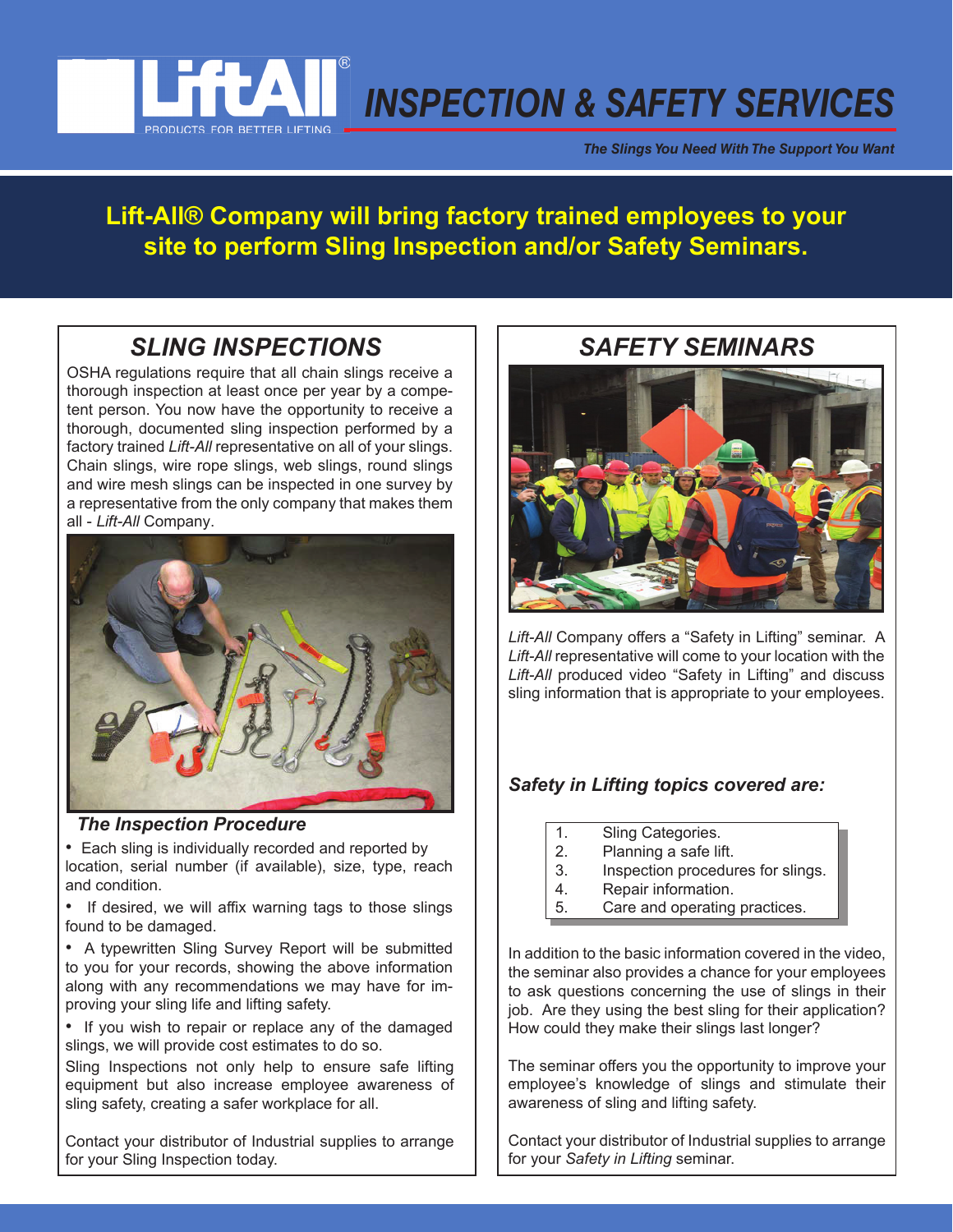

*The Slings You Need With The Support You Want*

## **Lift-All® Company will bring factory trained employees to your site to perform Sling Inspection and/or Safety Seminars.**

# *SLING INSPECTIONS SAFETY SEMINARS*

OSHA regulations require that all chain slings receive a thorough inspection at least once per year by a competent person. You now have the opportunity to receive a thorough, documented sling inspection performed by a factory trained *Lift-All* representative on all of your slings. Chain slings, wire rope slings, web slings, round slings and wire mesh slings can be inspected in one survey by a representative from the only company that makes them all - *Lift-All* Company.



### *The Inspection Procedure*

• Each sling is individually recorded and reported by location, serial number (if available), size, type, reach and condition.

• If desired, we will affix warning tags to those slings found to be damaged.

• A typewritten Sling Survey Report will be submitted to you for your records, showing the above information along with any recommendations we may have for improving your sling life and lifting safety.

• If you wish to repair or replace any of the damaged slings, we will provide cost estimates to do so.

Sling Inspections not only help to ensure safe lifting equipment but also increase employee awareness of sling safety, creating a safer workplace for all.

Contact your distributor of Industrial supplies to arrange for your Sling Inspection today.



Lift-All Company offers a "Safety in Lifting" seminar. A *Lift-All* representative will come to your location with the Lift-All produced video "Safety in Lifting" and discuss sling information that is appropriate to your employees.

## *Safety in Lifting topics covered are:*

- 1. Sling Categories.
- 2. Planning a safe lift.
- 3. Inspection procedures for slings.
- 4. Repair information.
- 5. Care and operating practices.

In addition to the basic information covered in the video, the seminar also provides a chance for your employees to ask questions concerning the use of slings in their job. Are they using the best sling for their application? How could they make their slings last longer?

The seminar offers you the opportunity to improve your employee's knowledge of slings and stimulate their awareness of sling and lifting safety.

Contact your distributor of Industrial supplies to arrange for your *Safety in Lifting* seminar.